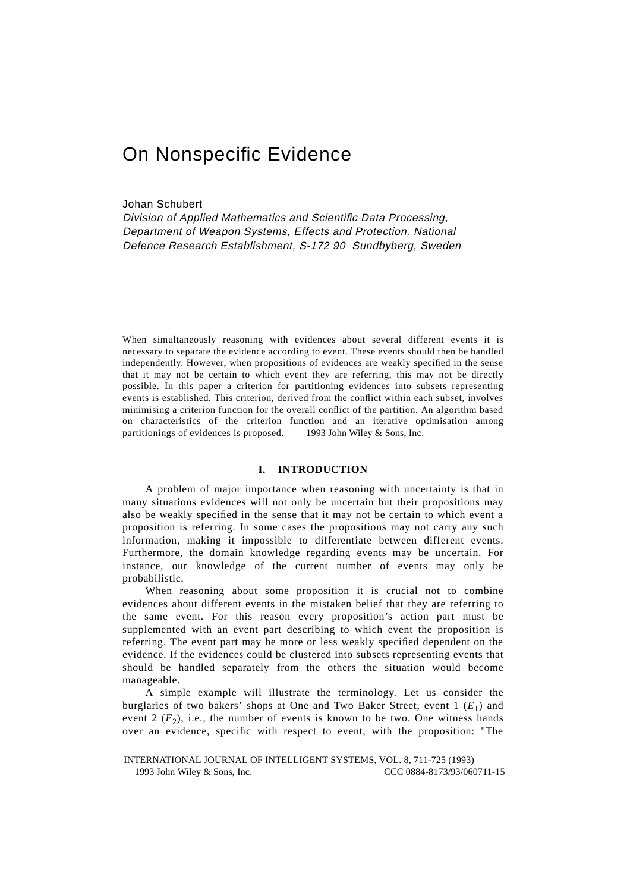# On Nonspecific Evidence

Johan Schubert

Division of Applied Mathematics and Scientific Data Processing, Department of Weapon Systems, Effects and Protection, National Defence Research Establishment, S-172 90 Sundbyberg, Sweden

When simultaneously reasoning with evidences about several different events it is necessary to separate the evidence according to event. These events should then be handled independently. However, when propositions of evidences are weakly specified in the sense that it may not be certain to which event they are referring, this may not be directly possible. In this paper a criterion for partitioning evidences into subsets representing events is established. This criterion, derived from the conflict within each subset, involves minimising a criterion function for the overall conflict of the partition. An algorithm based on characteristics of the criterion function and an iterative optimisation among partitionings of evidences is proposed. © 1993 John Wiley & Sons, Inc.

## **I. INTRODUCTION**

A problem of major importance when reasoning with uncertainty is that in many situations evidences will not only be uncertain but their propositions may also be weakly specified in the sense that it may not be certain to which event a proposition is referring. In some cases the propositions may not carry any such information, making it impossible to differentiate between different events. Furthermore, the domain knowledge regarding events may be uncertain. For instance, our knowledge of the current number of events may only be probabilistic.

When reasoning about some proposition it is crucial not to combine evidences about different events in the mistaken belief that they are referring to the same event. For this reason every proposition's action part must be supplemented with an event part describing to which event the proposition is referring. The event part may be more or less weakly specified dependent on the evidence. If the evidences could be clustered into subsets representing events that should be handled separately from the others the situation would become manageable.

A simple example will illustrate the terminology. Let us consider the burglaries of two bakers' shops at One and Two Baker Street, event  $1 (E_1)$  and event 2  $(E_2)$ , i.e., the number of events is known to be two. One witness hands over an evidence, specific with respect to event, with the proposition: "The

INTERNATIONAL JOURNAL OF INTELLIGENT SYSTEMS, VOL. 8, 711-725 (1993) 1993 John Wiley & Sons, Inc. CCC 0884-8173/93/060711-15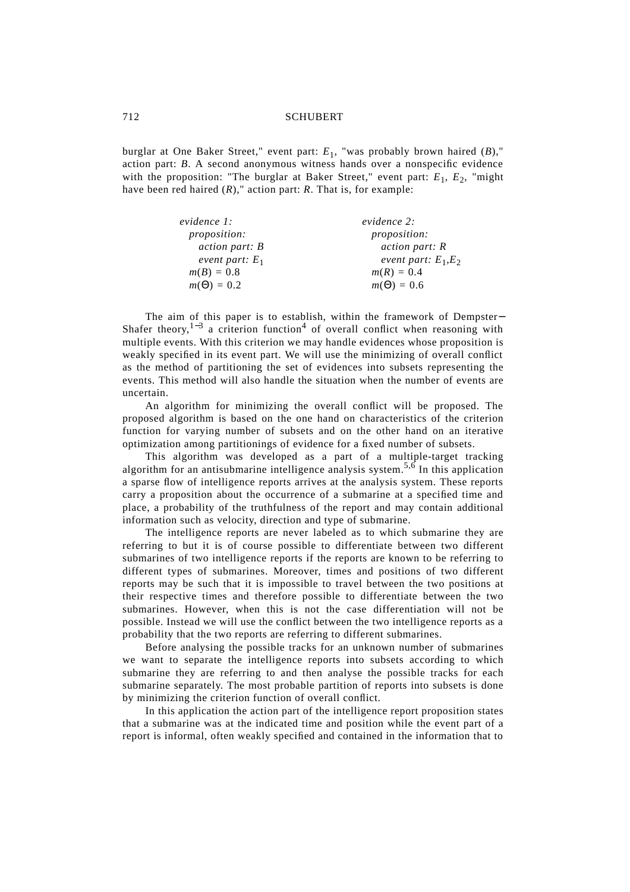burglar at One Baker Street," event part:  $E_1$ , "was probably brown haired  $(B)$ ," action part: *B*. A second anonymous witness hands over a nonspecific evidence with the proposition: "The burglar at Baker Street," event part:  $E_1$ ,  $E_2$ , "might have been red haired (*R*)," action part: *R*. That is, for example:

| evidence 2:            |
|------------------------|
| proposition:           |
| action part: R         |
| event part: $E_1, E_2$ |
| $m(R) = 0.4$           |
| $m(\Theta) = 0.6$      |
|                        |

The aim of this paper is to establish, within the framework of Dempster− Shafer theory,<sup>1-3</sup> a criterion function<sup>4</sup> of overall conflict when reasoning with multiple events. With this criterion we may handle evidences whose proposition is weakly specified in its event part. We will use the minimizing of overall conflict as the method of partitioning the set of evidences into subsets representing the events. This method will also handle the situation when the number of events are uncertain.

An algorithm for minimizing the overall conflict will be proposed. The proposed algorithm is based on the one hand on characteristics of the criterion function for varying number of subsets and on the other hand on an iterative optimization among partitionings of evidence for a fixed number of subsets.

This algorithm was developed as a part of a multiple-target tracking algorithm for an antisubmarine intelligence analysis system.<sup>5,6</sup> In this application a sparse flow of intelligence reports arrives at the analysis system. These reports carry a proposition about the occurrence of a submarine at a specified time and place, a probability of the truthfulness of the report and may contain additional information such as velocity, direction and type of submarine.

The intelligence reports are never labeled as to which submarine they are referring to but it is of course possible to differentiate between two different submarines of two intelligence reports if the reports are known to be referring to different types of submarines. Moreover, times and positions of two different reports may be such that it is impossible to travel between the two positions at their respective times and therefore possible to differentiate between the two submarines. However, when this is not the case differentiation will not be possible. Instead we will use the conflict between the two intelligence reports as a probability that the two reports are referring to different submarines.

Before analysing the possible tracks for an unknown number of submarines we want to separate the intelligence reports into subsets according to which submarine they are referring to and then analyse the possible tracks for each submarine separately. The most probable partition of reports into subsets is done by minimizing the criterion function of overall conflict.

In this application the action part of the intelligence report proposition states that a submarine was at the indicated time and position while the event part of a report is informal, often weakly specified and contained in the information that to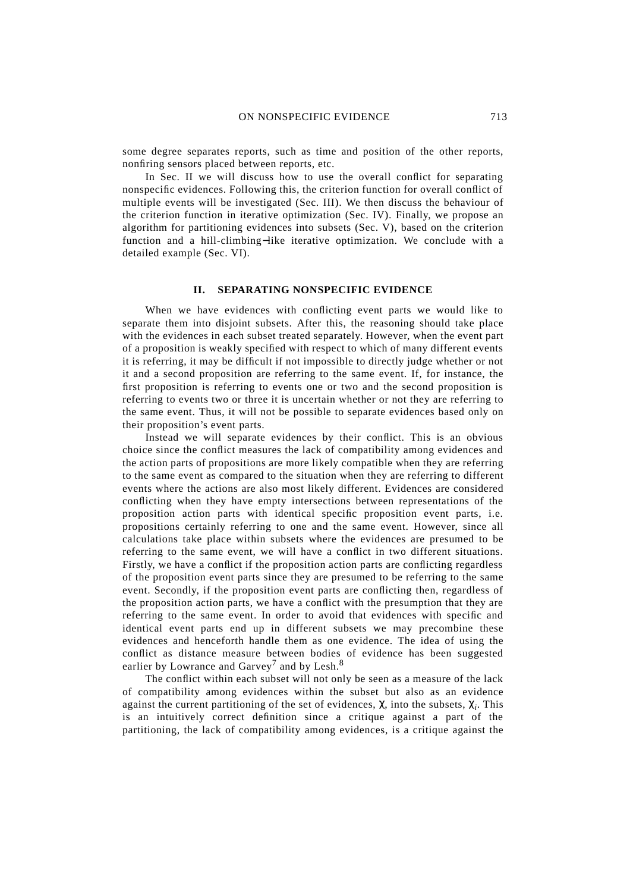some degree separates reports, such as time and position of the other reports, nonfiring sensors placed between reports, etc.

In Sec. II we will discuss how to use the overall conflict for separating nonspecific evidences. Following this, the criterion function for overall conflict of multiple events will be investigated (Sec. III). We then discuss the behaviour of the criterion function in iterative optimization (Sec. IV). Finally, we propose an algorithm for partitioning evidences into subsets (Sec. V), based on the criterion function and a hill-climbing−like iterative optimization. We conclude with a detailed example (Sec. VI).

## **II. SEPARATING NONSPECIFIC EVIDENCE**

When we have evidences with conflicting event parts we would like to separate them into disjoint subsets. After this, the reasoning should take place with the evidences in each subset treated separately. However, when the event part of a proposition is weakly specified with respect to which of many different events it is referring, it may be difficult if not impossible to directly judge whether or not it and a second proposition are referring to the same event. If, for instance, the first proposition is referring to events one or two and the second proposition is referring to events two or three it is uncertain whether or not they are referring to the same event. Thus, it will not be possible to separate evidences based only on their proposition's event parts.

Instead we will separate evidences by their conflict. This is an obvious choice since the conflict measures the lack of compatibility among evidences and the action parts of propositions are more likely compatible when they are referring to the same event as compared to the situation when they are referring to different events where the actions are also most likely different. Evidences are considered conflicting when they have empty intersections between representations of the proposition action parts with identical specific proposition event parts, i.e. propositions certainly referring to one and the same event. However, since all calculations take place within subsets where the evidences are presumed to be referring to the same event, we will have a conflict in two different situations. Firstly, we have a conflict if the proposition action parts are conflicting regardless of the proposition event parts since they are presumed to be referring to the same event. Secondly, if the proposition event parts are conflicting then, regardless of the proposition action parts, we have a conflict with the presumption that they are referring to the same event. In order to avoid that evidences with specific and identical event parts end up in different subsets we may precombine these evidences and henceforth handle them as one evidence. The idea of using the conflict as distance measure between bodies of evidence has been suggested earlier by Lowrance and Garvey<sup>7</sup> and by Lesh.<sup>8</sup>

The conflict within each subset will not only be seen as a measure of the lack of compatibility among evidences within the subset but also as an evidence against the current partitioning of the set of evidences, χ, into the subsets, χ*i*. This is an intuitively correct definition since a critique against a part of the partitioning, the lack of compatibility among evidences, is a critique against the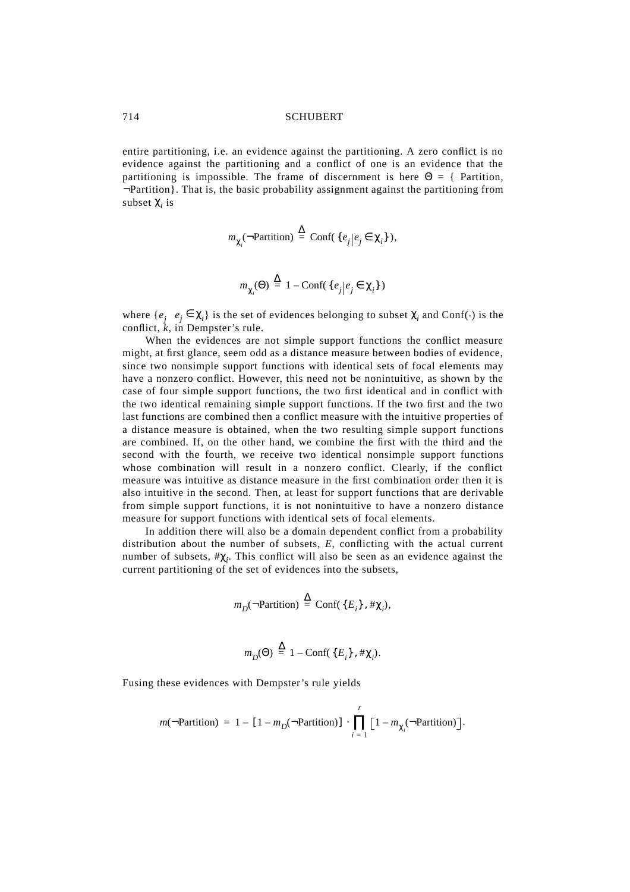entire partitioning, i.e. an evidence against the partitioning. A zero conflict is no evidence against the partitioning and a conflict of one is an evidence that the partitioning is impossible. The frame of discernment is here  $\Theta = \{$  Partition,  $\neg$ Partition}. That is, the basic probability assignment against the partitioning from subset χ*i* is

$$
m_{\chi_i}(\neg \text{Partition}) \stackrel{\Delta}{=} \text{Conf}(\{e_j | e_j \in \chi_i\}),
$$

$$
m_{\chi_i}(\Theta) \stackrel{\Delta}{=} 1 - \text{Conf}(\{e_j | e_j \in \chi_i\})
$$

where  $\{e_j | e_j \in \chi_i\}$  is the set of evidences belonging to subset  $\chi_i$  and Conf(.) is the conflict,  $\hat{k}$ , in Dempster's rule.

When the evidences are not simple support functions the conflict measure might, at first glance, seem odd as a distance measure between bodies of evidence, since two nonsimple support functions with identical sets of focal elements may have a nonzero conflict. However, this need not be nonintuitive, as shown by the case of four simple support functions, the two first identical and in conflict with the two identical remaining simple support functions. If the two first and the two last functions are combined then a conflict measure with the intuitive properties of a distance measure is obtained, when the two resulting simple support functions are combined. If, on the other hand, we combine the first with the third and the second with the fourth, we receive two identical nonsimple support functions whose combination will result in a nonzero conflict. Clearly, if the conflict measure was intuitive as distance measure in the first combination order then it is also intuitive in the second. Then, at least for support functions that are derivable from simple support functions, it is not nonintuitive to have a nonzero distance measure for support functions with identical sets of focal elements.

In addition there will also be a domain dependent conflict from a probability distribution about the number of subsets, *E*, conflicting with the actual current number of subsets, #χ*i*. This conflict will also be seen as an evidence against the current partitioning of the set of evidences into the subsets,

$$
m_D(\neg \text{Partition}) \stackrel{\Delta}{=} \text{Conf}(\{E_i\}, \#\chi_i),
$$

$$
m_D(\Theta) \stackrel{\Delta}{=} 1 - \text{Conf}(\{E_i\}, \#\chi_i).
$$

Fusing these evidences with Dempster's rule yields

$$
m(\neg \text{Partition}) = 1 - [1 - m_D(\neg \text{Partition})] \cdot \prod_{i=1}^{r} \left[1 - m_{\chi_i}(\neg \text{Partition})\right].
$$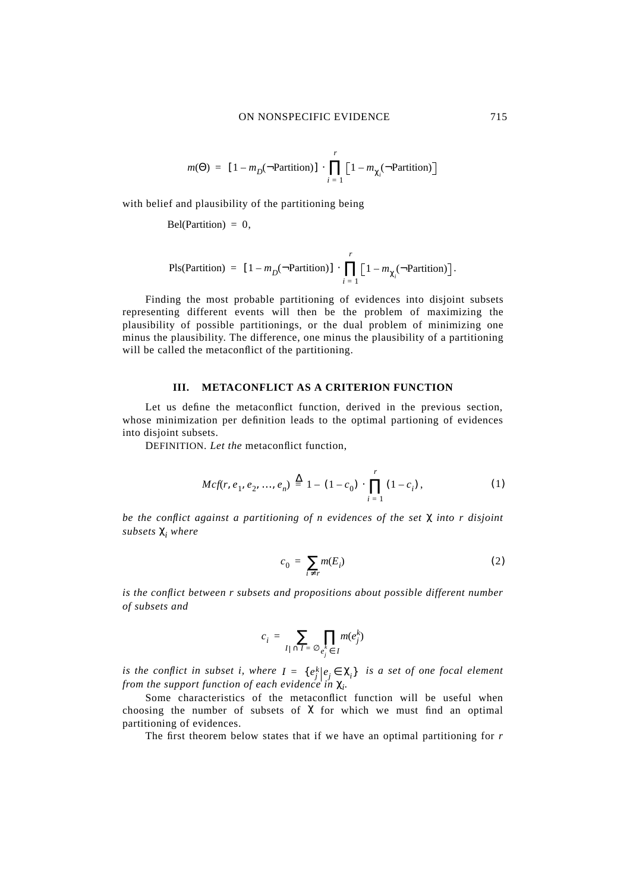$$
m(\Theta) = [1 - m_D(\neg \text{Partition})] \cdot \prod_{i=1}^{r} [1 - m_{\chi_i}(\neg \text{Partition})]
$$

with belief and plausibility of the partitioning being

$$
Bel(Partition) = 0,
$$

$$
\text{Pls}(\text{Partition}) = [1 - m_D(\neg \text{Partition})] \cdot \prod_{i=1}^{r} \left[1 - m_{\chi_i}(\neg \text{Partition})\right].
$$

Finding the most probable partitioning of evidences into disjoint subsets representing different events will then be the problem of maximizing the plausibility of possible partitionings, or the dual problem of minimizing one minus the plausibility. The difference, one minus the plausibility of a partitioning will be called the metaconflict of the partitioning.

## **III. METACONFLICT AS A CRITERION FUNCTION**

Let us define the metaconflict function, derived in the previous section, whose minimization per definition leads to the optimal partioning of evidences into disjoint subsets.

DEFINITION. *Let the* metaconflict function,

$$
Mcf(r, e_1, e_2, ..., e_n) \stackrel{\Delta}{=} 1 - (1 - c_0) \cdot \prod_{i=1}^r (1 - c_i),
$$
 (1)

*be the conflict against a partitioning of n evidences of the set* χ *into r disjoint subsets* χ*i where*

$$
c_0 = \sum_{i \neq r} m(E_i) \tag{2}
$$

*is the conflict between r subsets and propositions about possible different number of subsets and*

$$
c_i = \sum_{|I| \cap I = \emptyset} \prod_{e_j^k \in I} m(e_j^k)
$$

*is the conflict in subset i, where*  $I = \{e_i^k | e_i \in \mathcal{X}_i\}$  *is a set of one focal element from the support function of each evidence in* χ*i.*  $I = \{e_j^k | e_j \in \mathcal{X}_i\}$ 

Some characteristics of the metaconflict function will be useful when choosing the number of subsets of  $X$  for which we must find an optimal partitioning of evidences.

The first theorem below states that if we have an optimal partitioning for *r*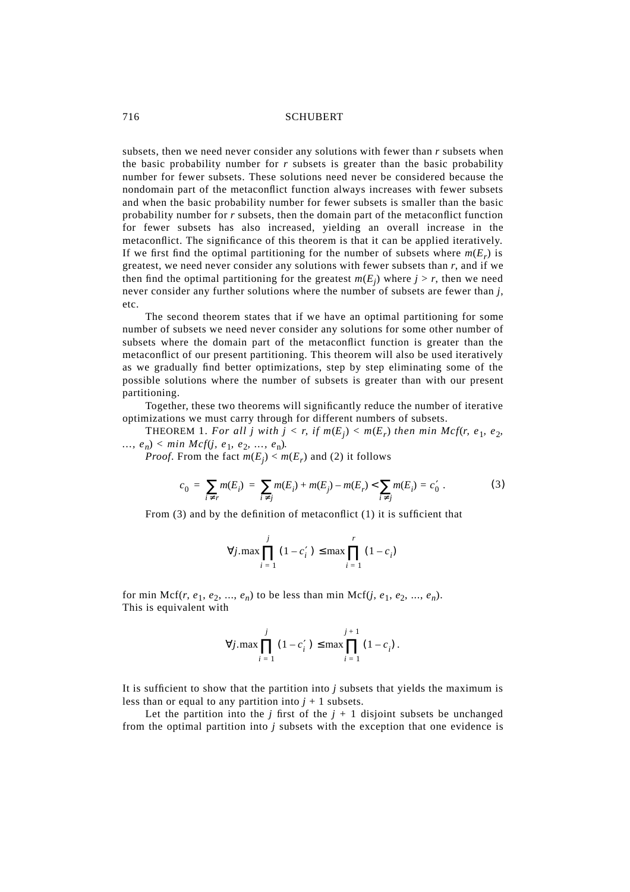subsets, then we need never consider any solutions with fewer than *r* subsets when the basic probability number for *r* subsets is greater than the basic probability number for fewer subsets. These solutions need never be considered because the nondomain part of the metaconflict function always increases with fewer subsets and when the basic probability number for fewer subsets is smaller than the basic probability number for *r* subsets, then the domain part of the metaconflict function for fewer subsets has also increased, yielding an overall increase in the metaconflict. The significance of this theorem is that it can be applied iteratively. If we first find the optimal partitioning for the number of subsets where  $m(E_r)$  is greatest, we need never consider any solutions with fewer subsets than *r*, and if we then find the optimal partitioning for the greatest  $m(E_i)$  where  $j > r$ , then we need never consider any further solutions where the number of subsets are fewer than *j*, etc.

The second theorem states that if we have an optimal partitioning for some number of subsets we need never consider any solutions for some other number of subsets where the domain part of the metaconflict function is greater than the metaconflict of our present partitioning. This theorem will also be used iteratively as we gradually find better optimizations, step by step eliminating some of the possible solutions where the number of subsets is greater than with our present partitioning.

Together, these two theorems will significantly reduce the number of iterative optimizations we must carry through for different numbers of subsets.

**THEOREM 1.** For all j with  $j < r$ , if  $m(E_j) < m(E_r)$  then min Mcf(r, e<sub>1</sub>, e<sub>2</sub>, ...,  $e_n$ ) < min Mcf(*j*,  $e_1$ ,  $e_2$ , ...,  $e_n$ ).

*Proof.* From the fact  $m(E_i) < m(E_r)$  and (2) it follows

$$
c_0 = \sum_{i \neq r} m(E_i) = \sum_{i \neq j} m(E_i) + m(E_j) - m(E_r) < \sum_{i \neq j} m(E_i) = c'_0 \,. \tag{3}
$$

From (3) and by the definition of metaconflict (1) it is sufficient that

$$
\forall j. \max \prod_{i=1}^{j} (1 - c'_i) \le \max \prod_{i=1}^{r} (1 - c_i)
$$

for min Mcf(*r*,  $e_1, e_2, ..., e_n$ ) to be less than min Mcf(*j*,  $e_1, e_2, ..., e_n$ ). This is equivalent with

$$
\forall j. \max \prod_{i=1}^{j} (1 - c'_i) \le \max \prod_{i=1}^{j+1} (1 - c_i).
$$

It is sufficient to show that the partition into *j* subsets that yields the maximum is less than or equal to any partition into  $j + 1$  subsets.

Let the partition into the *j* first of the  $j + 1$  disjoint subsets be unchanged from the optimal partition into *j* subsets with the exception that one evidence is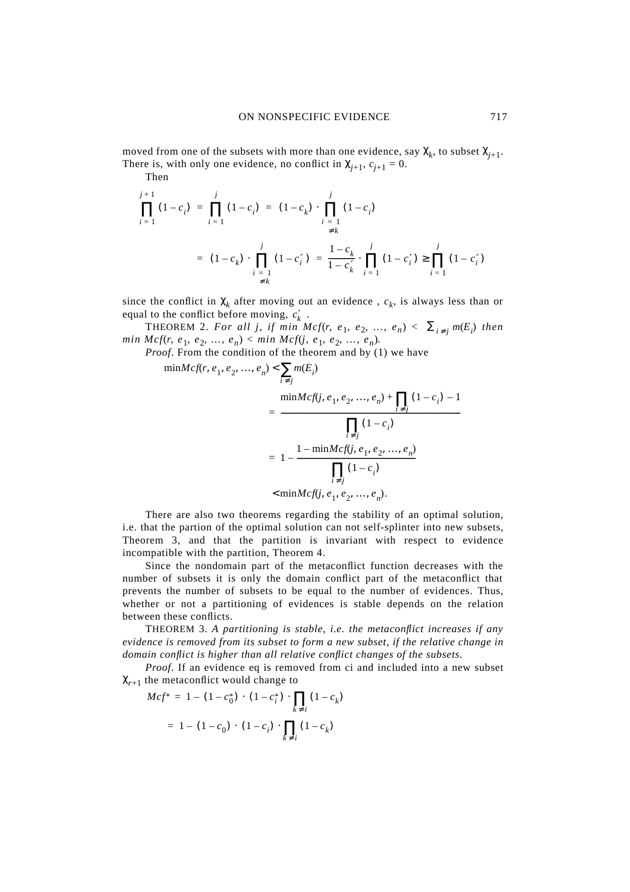moved from one of the subsets with more than one evidence, say  $\chi_k$ , to subset  $\chi_{j+1}$ . There is, with only one evidence, no conflict in  $\chi_{j+1}$ ,  $c_{j+1} = 0$ .

Then

$$
\prod_{i=1}^{j+1} (1 - c_i) = \prod_{i=1}^{j} (1 - c_i) = (1 - c_k) \cdot \prod_{\substack{i=1 \ \neq k}}^{j} (1 - c_i)
$$
  
=  $(1 - c_k) \cdot \prod_{\substack{i=1 \ \neq k}}^{j} (1 - c_i') = \frac{1 - c_k}{1 - c_k'} \cdot \prod_{i=1}^{j} (1 - c_i') \ge \prod_{i=1}^{j} (1 - c_i')$ 

since the conflict in  $\chi_k$  after moving out an evidence,  $c_k$ , is always less than or equal to the conflict before moving,  $c'_{k}$ .

THEOREM 2. For all j, if min  $Mcf(r, e_1, e_2, ..., e_n) < \sum_{i \neq j} m(E_i)$  then *min Mcf*(*r, e*<sub>1</sub>*, e*<sub>2</sub>*, ..., e*<sub>n</sub>)  $\lt$  *min Mcf*(*j, e*<sub>1</sub>*, e*<sub>2</sub>*, ..., e*<sub>n</sub>)*.* 

*Proof*. From the condition of the theorem and by (1) we have

$$
\begin{aligned}\n\min Mcf(r, e_1, e_2, \dots, e_n) &< \sum_{i \neq j} m(E_i) \\
&= \frac{\min Mcf(j, e_1, e_2, \dots, e_n) + \prod_{i \neq j} (1 - c_i) - 1}{\prod_{i \neq j} (1 - c_i)} \\
&= 1 - \frac{1 - \min Mcf(j, e_1, e_2, \dots, e_n)}{\prod_{i \neq j} (1 - c_i)} \\
&< \min Mcf(j, e_1, e_2, \dots, e_n).\n\end{aligned}
$$

There are also two theorems regarding the stability of an optimal solution, i.e. that the partion of the optimal solution can not self-splinter into new subsets, Theorem 3, and that the partition is invariant with respect to evidence incompatible with the partition, Theorem 4.

Since the nondomain part of the metaconflict function decreases with the number of subsets it is only the domain conflict part of the metaconflict that prevents the number of subsets to be equal to the number of evidences. Thus, whether or not a partitioning of evidences is stable depends on the relation between these conflicts.

THEOREM 3. *A partitioning is stable, i.e. the metaconflict increases if any evidence is removed from its subset to form a new subset, if the relative change in domain conflict is higher than all relative conflict changes of the subsets.*

*Proof*. If an evidence eq is removed from ci and included into a new subset  $\chi_{r+1}$  the metaconflict would change to

$$
Mcf^* = 1 - (1 - c_0^*) \cdot (1 - c_i^*) \cdot \prod_{k \neq i} (1 - c_k)
$$
  
= 1 - (1 - c\_0) \cdot (1 - c\_i) \cdot \prod\_{k \neq i} (1 - c\_k)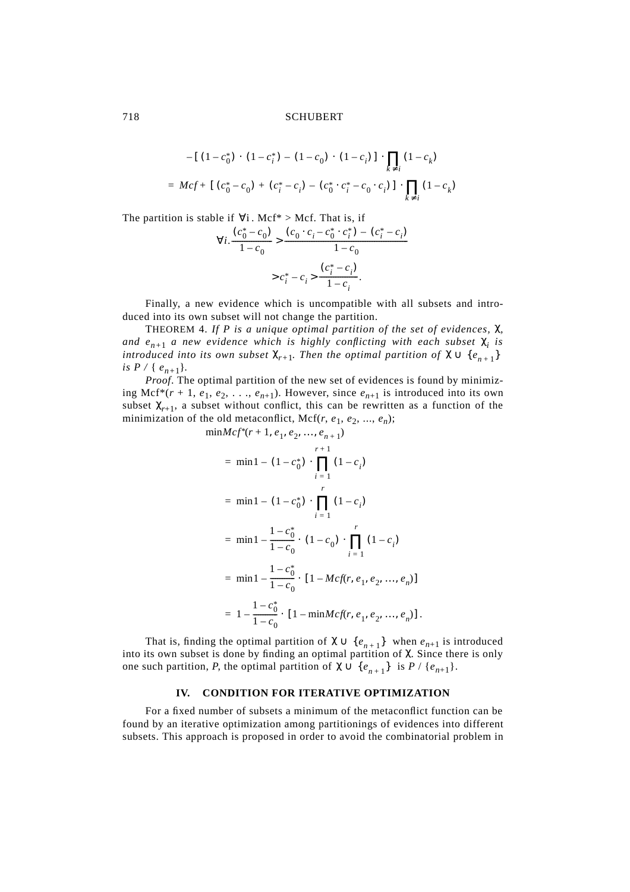$$
-[(1-c_0^*) \cdot (1-c_i^*) - (1-c_0) \cdot (1-c_i)] \cdot \prod_{k \neq i} (1-c_k)
$$
  
=  $Mcf + [(c_0^* - c_0) + (c_i^* - c_i) - (c_0^* \cdot c_i^* - c_0 \cdot c_i)] \cdot \prod_{k \neq i} (1-c_k)$ 

The partition is stable if  $\forall i$ . Mcf\* > Mcf. That is, if

$$
\forall i. \frac{(c_0^* - c_0)}{1 - c_0} > \frac{(c_0 \cdot c_i - c_0^* \cdot c_i^*) - (c_i^* - c_i)}{1 - c_0}
$$

$$
> c_i^* - c_i > \frac{(c_i^* - c_i)}{1 - c_i}.
$$

Finally, a new evidence which is uncompatible with all subsets and introduced into its own subset will not change the partition.

THEOREM 4. *If P is a unique optimal partition of the set of evidences,* χ*, and*  $e_{n+1}$  *a new evidence which is highly conflicting with each subset*  $\chi_i$  *is introduced into its own subset*  $\chi_{r+1}$ *. Then the optimal partition of*  $\chi \cup \{e_{n+1}\}$ *is*  $P / \{e_{n+1}\}.$ 

*Proof*. The optimal partition of the new set of evidences is found by minimizing Mcf<sup>\*</sup>( $r$  + 1,  $e_1$ ,  $e_2$ , . . .,  $e_{n+1}$ ). However, since  $e_{n+1}$  is introduced into its own subset  $\chi_{r+1}$ , a subset without conflict, this can be rewritten as a function of the minimization of the old metaconflict, Mcf( $r$ ,  $e_1$ ,  $e_2$ , ...,  $e_n$ );

$$
\min Mcf^{*}(r+1, e_{1}, e_{2}, ..., e_{n+1})
$$
\n
$$
= \min 1 - (1 - c_{0}^{*}) \cdot \prod_{i=1}^{r+1} (1 - c_{i})
$$
\n
$$
= \min 1 - (1 - c_{0}^{*}) \cdot \prod_{i=1}^{r} (1 - c_{i})
$$
\n
$$
= \min 1 - \frac{1 - c_{0}^{*}}{1 - c_{0}} \cdot (1 - c_{0}) \cdot \prod_{i=1}^{r} (1 - c_{i})
$$
\n
$$
= \min 1 - \frac{1 - c_{0}^{*}}{1 - c_{0}} \cdot [1 - Mcf(r, e_{1}, e_{2}, ..., e_{n})]
$$
\n
$$
= 1 - \frac{1 - c_{0}^{*}}{1 - c_{0}} \cdot [1 - \min Mcf(r, e_{1}, e_{2}, ..., e_{n})].
$$

That is, finding the optimal partition of  $\chi \cup \{e_{n+1}\}\$  when  $e_{n+1}$  is introduced into its own subset is done by finding an optimal partition of χ. Since there is only one such partition, *P*, the optimal partition of  $\chi \cup \{e_{n+1}\}\$  is  $P / \{e_{n+1}\}\$ .

## **IV. CONDITION FOR ITERATIVE OPTIMIZATION**

For a fixed number of subsets a minimum of the metaconflict function can be found by an iterative optimization among partitionings of evidences into different subsets. This approach is proposed in order to avoid the combinatorial problem in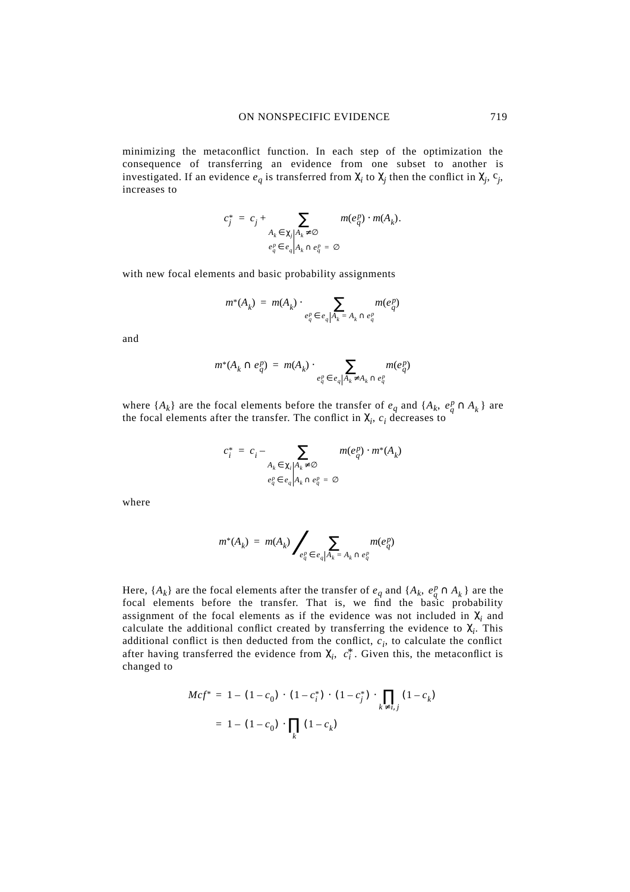minimizing the metaconflict function. In each step of the optimization the consequence of transferring an evidence from one subset to another is investigated. If an evidence  $e_q$  is transferred from  $\chi_i$  to  $\chi_j$  then the conflict in  $\chi_j$ ,  $c_j$ , increases to

$$
c_j^* = c_j + \sum_{\substack{A_k \in \mathcal{X}_j | A_k \neq \emptyset \\ e_q^p \in e_q | A_k \cap e_q^p = \emptyset}} m(e_q^p) \cdot m(A_k).
$$

with new focal elements and basic probability assignments

$$
m^*(A_k) = m(A_k) \cdot \sum_{e_q^p \in e_q | A_k = A_k \cap e_q^p} m(e_q^p)
$$

and

$$
m^*(A_k \cap e_q^p) = m(A_k) \cdot \sum_{e_q^p \in e_q | A_k \neq A_k \cap e_q^p} m(e_q^p)
$$

where  $\{A_k\}$  are the focal elements before the transfer of  $e_q$  and  $\{A_k, e_q^p \cap A_k\}$  are the focal elements after the transfer. The conflict in  $\chi_i$ ,  $c_i$  decreases to

$$
c_i^* = c_i - \sum_{\substack{A_k \in \chi_i \mid A_k \neq \emptyset \\ e_q^p \in e_q \mid A_k \cap e_q^p = \emptyset}} m(e_q^p) \cdot m^*(A_k)
$$

where

$$
m^*(A_k) = m(A_k) \sum_{e_q^p \in e_q | A_k = A_k \cap e_q^p} m(e_q^p)
$$

Here,  $\{A_k\}$  are the focal elements after the transfer of  $e_q$  and  $\{A_k, e_q^p \cap A_k\}$  are the focal elements before the transfer. That is, we find the basic probability assignment of the focal elements as if the evidence was not included in  $\chi_i$  and calculate the additional conflict created by transferring the evidence to  $\chi_i$ . This additional conflict is then deducted from the conflict,  $c_i$ , to calculate the conflict after having transferred the evidence from  $\chi_i$ ,  $c_i^*$ . Given this, the metaconflict is changed to

$$
Mcf^* = 1 - (1 - c_0) \cdot (1 - c_i^*) \cdot (1 - c_j^*) \cdot \prod_{k \neq i, j} (1 - c_k)
$$
  
= 1 - (1 - c\_0) \cdot \prod\_k (1 - c\_k)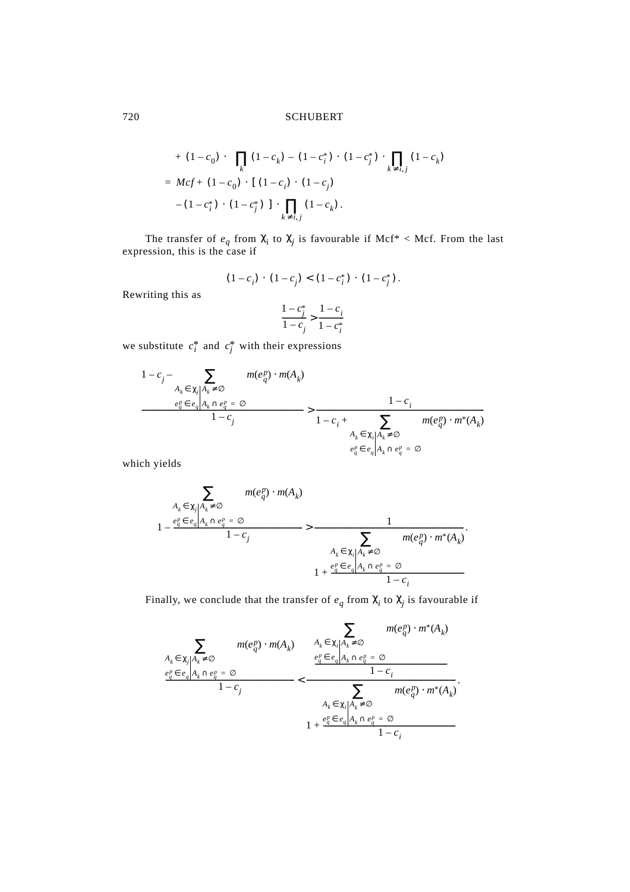+ 
$$
(1 - c_0) \cdot \left( \prod_k (1 - c_k) - (1 - c_i^*) \cdot (1 - c_j^*) \cdot \prod_{k \neq i, j} (1 - c_k) \right)
$$
  
=  $Mcf + (1 - c_0) \cdot [(1 - c_i) \cdot (1 - c_j)$   
 $- (1 - c_i^*) \cdot (1 - c_j^*) ] \cdot \prod_{k \neq i, j} (1 - c_k).$ 

The transfer of  $e_q$  from  $\chi_i$  to  $\chi_j$  is favourable if Mcf<sup>\*</sup> < Mcf. From the last expression, this is the case if

$$
(1-c_i)\cdot (1-c_j) < (1-c_i^*)\cdot (1-c_j^*)\,.
$$

Rewriting this as

$$
\frac{1-c_j^*}{1-c_j} > \frac{1-c_i}{1-c_i^*}
$$

we substitute  $c_i^*$  and  $c_j^*$  with their expressions

$$
\begin{aligned} 1 - c_j - & \sum_{A_k \in \mathcal{X}_j | A_k \neq \emptyset} m(e_q^p) \cdot m(A_k) \\ & \xrightarrow{e_q^p \in e_q | A_k \cap e_q^p = \emptyset} > \frac{1 - c_i}{1 - c_i + \sum_{A_k \in \mathcal{X}_i | A_k \neq \emptyset} m(e_q^p) \cdot m^*(A_k)} \\ & \xrightarrow{e_q^p \in e_q | A_k \cap e_q^p = \emptyset} \end{aligned}
$$

which yields

$$
\sum_{\substack{A_k \in \chi_j | A_k \neq \emptyset \\ 1 - \frac{e_q^p \in e_q | A_k \cap e_q^p = \emptyset}{1 - c_j}}} \frac{m(e_q^p) \cdot m(A_k)}{1 - c_j} > \frac{1}{\sum_{\substack{A_k \in \chi_i | A_k \neq \emptyset \\ 1 + \frac{e_q^p \in e_q | A_k \cap e_q^p = \emptyset}{1 - c_i}}} \frac{m(e_q^p) \cdot m^*(A_k)}{1 - c_i}}.
$$

Finally, we conclude that the transfer of  $e_q$  from  $\chi_i$  to  $\chi_j$  is favourable if

$$
\sum_{\substack{A_k \in \chi_j | A_k \neq \emptyset \\ e_q^p \in e_q | A_k \cap e_q^p = \emptyset}} m(e_q^p) \cdot m(A_k) \qquad \sum_{\substack{e_q^p \in e_q | A_k \cap e_q^p = \emptyset \\ 1 - c_j}} m(e_q^p) \cdot m^*(A_k) \\ \leq \frac{e_q^p \in e_q | A_k \cap e_q^p = \emptyset}{1 - c_i} \\ \leq \sum_{\substack{A_k \in \chi_i | A_k \neq \emptyset \\ 1 + \frac{e_q^p \in e_q | A_k \cap e_q^p = \emptyset}{1 - c_i}} \frac{m(e_q^p) \cdot m^*(A_k)}{1 - c_i}}.
$$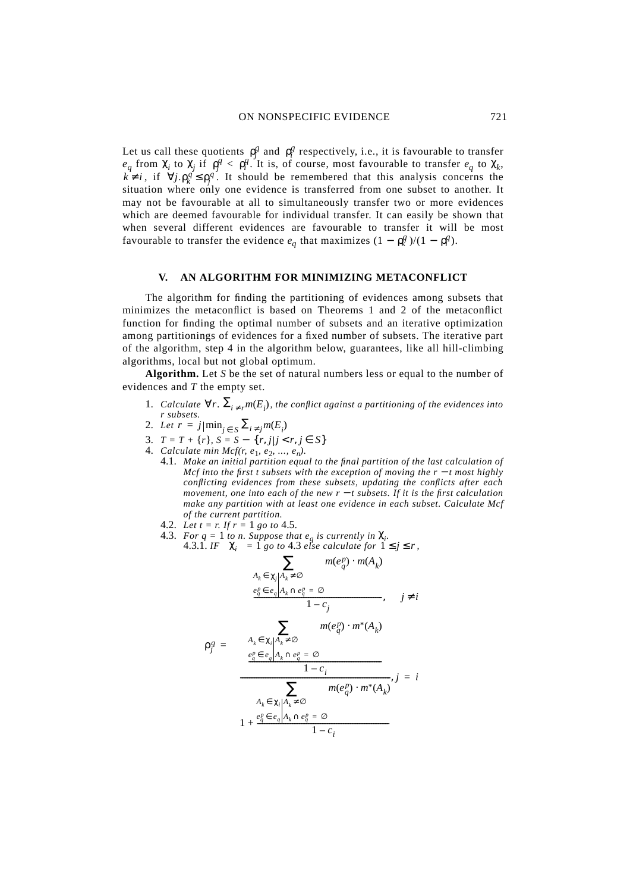Let us call these quotients  $\rho_j^q$  and  $\rho_i^q$  respectively, i.e., it is favourable to transfer  $e_q$  from  $\chi_i$  to  $\chi_j$  if  $\rho_j^q < \rho_i^q$ . It is, of course, most favourable to transfer  $e_q$  to  $\chi_k$ ,  $k \neq i$ , if  $\forall j. \rho_k^{\dot{q}} \leq \rho_j^{\dot{q}}$ . It should be remembered that this analysis concerns the situation where only one evidence is transferred from one subset to another. It may not be favourable at all to simultaneously transfer two or more evidences which are deemed favourable for individual transfer. It can easily be shown that when several different evidences are favourable to transfer it will be most favourable to transfer the evidence  $e_q$  that maximizes  $(1 - \rho_k^q)/(1 - \rho_i^q)$ .

## **V. AN ALGORITHM FOR MINIMIZING METACONFLICT**

The algorithm for finding the partitioning of evidences among subsets that minimizes the metaconflict is based on Theorems 1 and 2 of the metaconflict function for finding the optimal number of subsets and an iterative optimization among partitionings of evidences for a fixed number of subsets. The iterative part of the algorithm, step 4 in the algorithm below, guarantees, like all hill-climbing algorithms, local but not global optimum.

**Algorithm.** Let *S* be the set of natural numbers less or equal to the number of evidences and *T* the empty set.

- 1. *Calculate*  $\forall r$ .  $\Sigma_{i \neq r} m(E_i)$ , the conflict against a partitioning of the evidences into *r subsets.*
- 2. Let  $r = j | \min_{j \in S} \sum_{i \neq j} m(E_i)$
- 3.  $T = T + \{r\}, S = S \{r, j | j < r, j \in S\}$
- 4. *Calculate min Mcf(r, e<sub>1</sub>, e<sub>2</sub>, ..., e<sub>n</sub>).* 
	- 4.1. *Make an initial partition equal to the final partition of the last calculation of Mcf into the first t subsets with the exception of moving the*  $r - t$  *most highly conflicting evidences from these subsets, updating the conflicts after each movement, one into each of the new r* − *t subsets. If it is the first calculation make any partition with at least one evidence in each subset. Calculate Mcf of the current partition.*
	- 4.2. *Let t = r. If r =* 1 *go to* 4.5.
	- 4.3. *For q* = 1 to *n.* Suppose that  $e_q$  is currently in  $\chi_i$ .  $4.3.1.$  *IF*  $|\chi_i| = 1$  go to 4.3 else calculate for  $1 \le j \le r$ ,

$$
\rho_j^q = \begin{cases}\n\sum_{A_k \in \chi_j | A_k \neq \emptyset} m(e_q^p) \cdot m(A_k) \\
\frac{e_q^p \in e_q | A_k \cap e_q^p = \emptyset}{1 - c_j}, \quad j \neq i \\
\sum_{\substack{e_q^p \in e_q | A_k \neq \emptyset}} m(e_q^p) \cdot m^*(A_k) \\
\frac{e_q^p \in e_q | A_k \cap e_q^p = \emptyset}{1 - c_i}, \quad j = i \\
\frac{1}{\sum_{\substack{e_q^p \in e_q | A_k \neq \emptyset}} m(e_q^p) \cdot m^*(A_k)}, j = i \\
1 + \frac{e_q^p \in e_q | A_k \cap e_q^p = \emptyset}{1 - c_i}\n\end{cases}
$$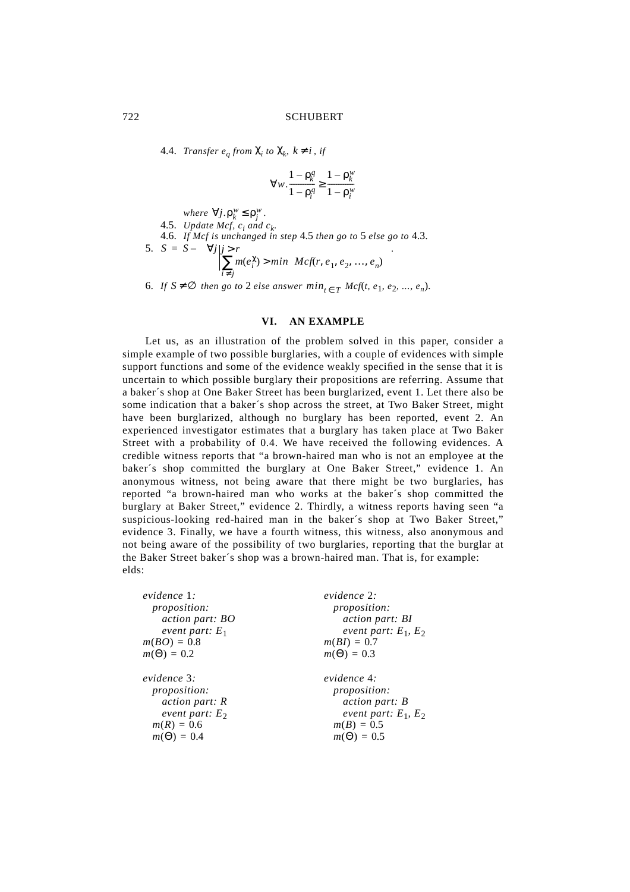4.4. *Transfer*  $e_q$  *from*  $\chi_i$  *to*  $\chi_k$ ,  $k \neq i$ , *if* 

$$
\forall w. \frac{1 - \rho_k^q}{1 - \rho_i^q} \ge \frac{1 - \rho_k^w}{1 - \rho_i^w}
$$

*where*  $\forall j. \rho_k^w \leq \rho_j^w$ .

4.5. Update Mcf, 
$$
c_i
$$
 and  $c_k$ .

4.6. *If Mcf is unchanged in step* 4.5 *then go to* 5 *else go to* 4.3.

5. 
$$
S = S - \left\{ \begin{aligned} \forall j | & j > r \\ \sum_{i \neq j} m(e_i^{\chi}) > min \; Mcf(r, e_1, e_2, ..., e_n) \end{aligned} \right\}.
$$

6. If  $S \neq \emptyset$  then go to 2 else answer  $min_{t \in T} Mcf(t, e_1, e_2, ..., e_n)$ .

## **VI. AN EXAMPLE**

Let us, as an illustration of the problem solved in this paper, consider a simple example of two possible burglaries, with a couple of evidences with simple support functions and some of the evidence weakly specified in the sense that it is uncertain to which possible burglary their propositions are referring. Assume that a baker´s shop at One Baker Street has been burglarized, event 1. Let there also be some indication that a baker´s shop across the street, at Two Baker Street, might have been burglarized, although no burglary has been reported, event 2. An experienced investigator estimates that a burglary has taken place at Two Baker Street with a probability of 0.4. We have received the following evidences. A credible witness reports that "a brown-haired man who is not an employee at the baker´s shop committed the burglary at One Baker Street," evidence 1. An anonymous witness, not being aware that there might be two burglaries, has reported "a brown-haired man who works at the baker´s shop committed the burglary at Baker Street," evidence 2. Thirdly, a witness reports having seen "a suspicious-looking red-haired man in the baker´s shop at Two Baker Street," evidence 3. Finally, we have a fourth witness, this witness, also anonymous and not being aware of the possibility of two burglaries, reporting that the burglar at the Baker Street baker´s shop was a brown-haired man. That is, for example: elds:

| evidence 1:           | evidence 2:            |
|-----------------------|------------------------|
| proposition:          | proposition:           |
| action part: BO       | <i>action part: BI</i> |
| event part: $E_1$     | event part: $E_1, E_2$ |
| $m(BO) = 0.8$         | $m(BI) = 0.7$          |
| $m(\Theta) = 0.2$     | $m(\Theta) = 0.3$      |
|                       |                        |
| evidence 3:           | evidence 4:            |
|                       |                        |
| <i>proposition:</i>   | <i>proposition:</i>    |
| <i>action part: R</i> | <i>action part: B</i>  |
| event part: $E_2$     | event part: $E_1, E_2$ |
| $m(R) = 0.6$          | $m(B) = 0.5$           |
| $m(\Theta) = 0.4$     | $m(\Theta) = 0.5$      |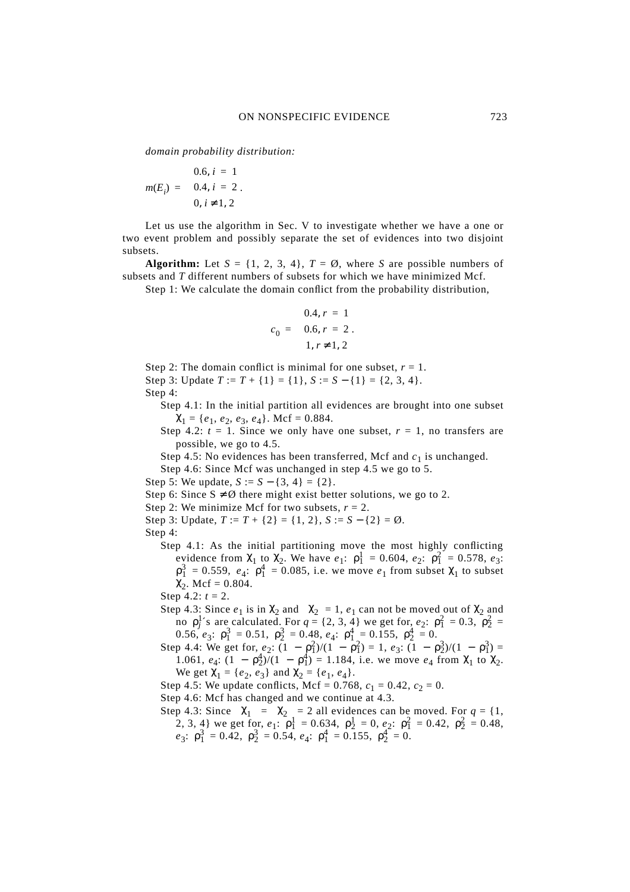*domain probability distribution:*

$$
m(E_i) = \begin{cases} 0.6, i = 1 \\ 0.4, i = 2 \\ 0, i \neq 1, 2 \end{cases}
$$

Let us use the algorithm in Sec. V to investigate whether we have a one or two event problem and possibly separate the set of evidences into two disjoint subsets.

**Algorithm:** Let  $S = \{1, 2, 3, 4\}$ ,  $T = \emptyset$ , where *S* are possible numbers of subsets and *T* different numbers of subsets for which we have minimized Mcf.

Step 1: We calculate the domain conflict from the probability distribution,

$$
c_0 = \begin{cases} 0.4, r = 1 \\ 0.6, r = 2 \\ 1, r \neq 1, 2 \end{cases}
$$

Step 2: The domain conflict is minimal for one subset,  $r = 1$ . Step 3: Update  $T := T + \{1\} = \{1\}$ ,  $S := S - \{1\} = \{2, 3, 4\}$ . Step 4:

Step 4.1: In the initial partition all evidences are brought into one subset  $\chi_1 = \{e_1, e_2, e_3, e_4\}.$  Mcf = 0.884.

Step 4.2:  $t = 1$ . Since we only have one subset,  $r = 1$ , no transfers are possible, we go to 4.5.

Step 4.5: No evidences has been transferred, Mcf and  $c_1$  is unchanged.

Step 4.6: Since Mcf was unchanged in step 4.5 we go to 5.

Step 5: We update,  $S := S - \{3, 4\} = \{2\}.$ 

Step 6: Since  $S \neq \emptyset$  there might exist better solutions, we go to 2.

Step 2: We minimize Mcf for two subsets,  $r = 2$ .

Step 3: Update,  $T := T + \{2\} = \{1, 2\}$ ,  $S := S - \{2\} = \emptyset$ . Step 4:

Step 4.1: As the initial partitioning move the most highly conflicting evidence from  $\chi_1$  to  $\chi_2$ . We have  $e_1$ :  $\rho_1^1 = 0.604$ ,  $e_2$ :  $\rho_1^2 = 0.578$ ,  $e_3$ :  $\rho_1^3 = 0.559$ ,  $e_4$ :  $\rho_1^4 = 0.085$ , i.e. we move  $e_1$  from subset  $\chi_1$  to subset  $\chi_2$ . Mcf = 0.804.

Step 4.2:  $t = 2$ .

Step 4.3: Since  $e_1$  is in  $\chi_2$  and  $|\chi_2|= 1$ ,  $e_1$  can not be moved out of  $\chi_2$  and no  $\rho_j^1$ 's are calculated. For  $q = \{2, 3, 4\}$  we get for,  $e_2$ :  $\rho_1^2 = 0.3$ ,  $\rho_2^2 =$ 0.56,  $e_3$ :  $\rho_1^3 = 0.51$ ,  $\rho_2^3 = 0.48$ ,  $e_4$ :  $\rho_1^4 = 0.155$ ,  $\rho_2^4 = 0$ .

Step 4.4: We get for,  $e_2$ :  $(1 - \rho_1^2)/(1 - \rho_1^2) = 1$ ,  $e_3$ :  $(1 - \rho_2^3)/(1 - \rho_1^3) =$ 1.061,  $e_4$ :  $(1 - \rho_2^4)/(1 - \rho_1^4) = 1.184$ , i.e. we move  $e_4$  from  $\chi_1$  to  $\chi_2$ . We get  $\chi_1 = \{e_2, e_3\}$  and  $\chi_2 = \{e_1, e_4\}.$ 

Step 4.5: We update conflicts, Mcf = 0.768,  $c_1 = 0.42$ ,  $c_2 = 0$ .

Step 4.6: Mcf has changed and we continue at 4.3.

Step 4.3: Since  $|\chi_1| = |\chi_2| = 2$  all evidences can be moved. For  $q = \{1,$ 2, 3, 4) we get for,  $e_1$ :  $\rho_1^1 = 0.634$ ,  $\rho_2^1 = 0$ ,  $e_2$ :  $\rho_1^2 = 0.42$ ,  $\rho_2^2 = 0.48$ ,  $e_3$ :  $\rho_1^3 = 0.42$ ,  $\rho_2^3 = 0.54$ ,  $e_4$ :  $\rho_1^4 = 0.155$ ,  $\rho_2^4 = 0$ .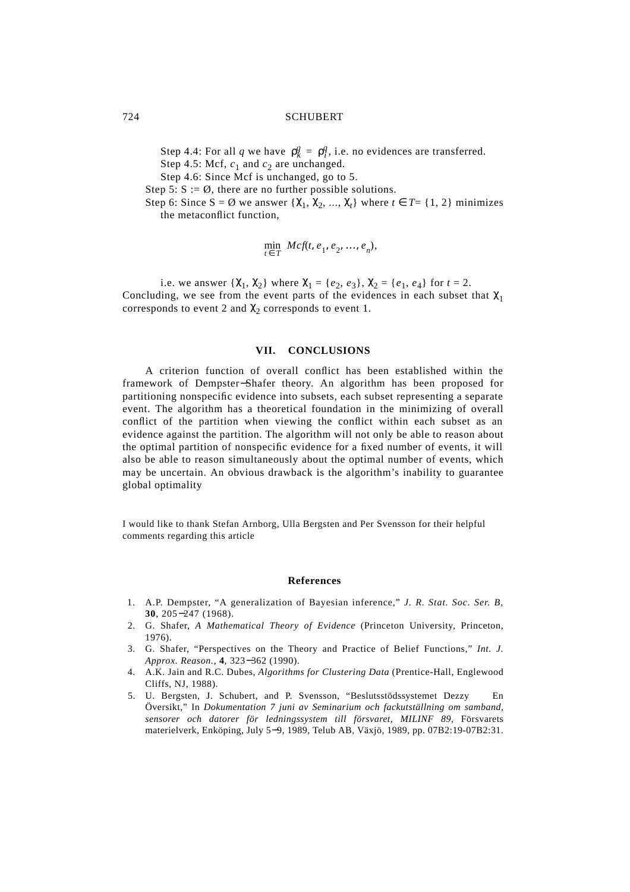Step 4.4: For all *q* we have  $\rho_k^q = \rho_i^q$ , i.e. no evidences are transferred. Step 4.5: Mcf,  $c_1$  and  $c_2$  are unchanged. Step 4.6: Since Mcf is unchanged, go to 5. Step 5:  $S := \emptyset$ , there are no further possible solutions.

Step 6: Since  $S = \emptyset$  we answer  $\{\chi_1, \chi_2, ..., \chi_t\}$  where  $t \in T = \{1, 2\}$  minimizes the metaconflict function,

$$
\min_{t \in T} \; Mcf(t, e_1, e_2, \ldots, e_n),
$$

i.e. we answer  $\{\chi_1, \chi_2\}$  where  $\chi_1 = \{e_2, e_3\}, \chi_2 = \{e_1, e_4\}$  for  $t = 2$ . Concluding, we see from the event parts of the evidences in each subset that  $\chi_1$ corresponds to event 2 and  $\chi_2$  corresponds to event 1.

#### **VII. CONCLUSIONS**

A criterion function of overall conflict has been established within the framework of Dempster−Shafer theory. An algorithm has been proposed for partitioning nonspecific evidence into subsets, each subset representing a separate event. The algorithm has a theoretical foundation in the minimizing of overall conflict of the partition when viewing the conflict within each subset as an evidence against the partition. The algorithm will not only be able to reason about the optimal partition of nonspecific evidence for a fixed number of events, it will also be able to reason simultaneously about the optimal number of events, which may be uncertain. An obvious drawback is the algorithm's inability to guarantee global optimality

I would like to thank Stefan Arnborg, Ulla Bergsten and Per Svensson for their helpful comments regarding this article

#### **References**

- 1. A.P. Dempster, "A generalization of Bayesian inference," *J. R. Stat. Soc. Ser. B,* **30**, 205−247 (1968).
- 2. G. Shafer, *A Mathematical Theory of Evidence* (Princeton University, Princeton, 1976).
- 3. G. Shafer, "Perspectives on the Theory and Practice of Belief Functions," *Int. J. Approx. Reason.*, **4**, 323−362 (1990).
- 4. A.K. Jain and R.C. Dubes, *Algorithms for Clustering Data* (Prentice-Hall, Englewood Cliffs, NJ, 1988).
- 5. U. Bergsten, J. Schubert, and P. Svensson, "Beslutsstödssystemet Dezzy En Översikt," In *Dokumentation 7 juni av Seminarium och fackutställning om samband, sensorer och datorer för ledningssystem till försvaret, MILINF 89,* Försvarets materielverk, Enköping, July 5−9, 1989, Telub AB, Växjö, 1989, pp. 07B2:19-07B2:31.